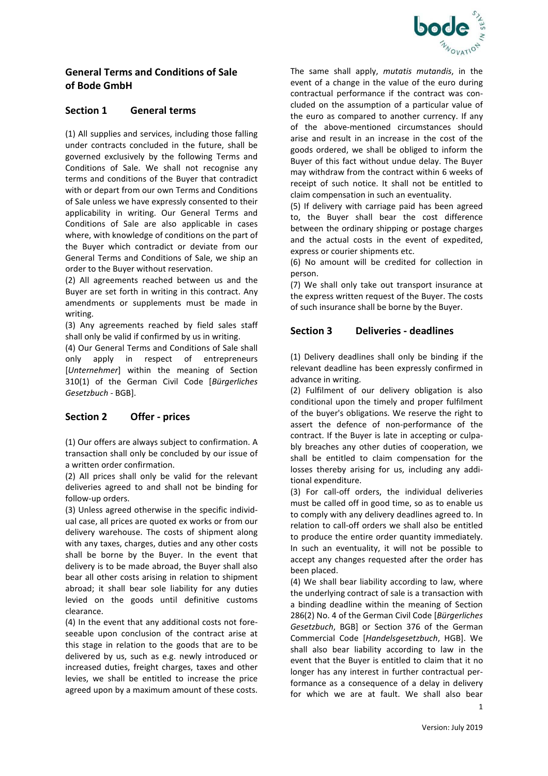

# **General Terms and Conditions of Sale of Bode GmbH**

#### **Section 1 General terms**

(1) All supplies and services, including those falling under contracts concluded in the future, shall be governed exclusively by the following Terms and Conditions of Sale. We shall not recognise any terms and conditions of the Buyer that contradict with or depart from our own Terms and Conditions of Sale unless we have expressly consented to their applicability in writing. Our General Terms and Conditions of Sale are also applicable in cases where, with knowledge of conditions on the part of the Buyer which contradict or deviate from our General Terms and Conditions of Sale, we ship an order to the Buyer without reservation.

(2) All agreements reached between us and the Buyer are set forth in writing in this contract. Any amendments or supplements must be made in writing.

(3) Any agreements reached by field sales staff shall only be valid if confirmed by us in writing.

(4) Our General Terms and Conditions of Sale shall only apply in respect of entrepreneurs [*Unternehmer*] within the meaning of Section 310(1) of the German Civil Code [*Bürgerliches Gesetzbuch* - BGB].

## **Section 2 Offer - prices**

(1) Our offers are always subject to confirmation. A transaction shall only be concluded by our issue of a written order confirmation.

(2) All prices shall only be valid for the relevant deliveries agreed to and shall not be binding for follow-up orders.

(3) Unless agreed otherwise in the specific individual case, all prices are quoted ex works or from our delivery warehouse. The costs of shipment along with any taxes, charges, duties and any other costs shall be borne by the Buyer. In the event that delivery is to be made abroad, the Buyer shall also bear all other costs arising in relation to shipment abroad; it shall bear sole liability for any duties levied on the goods until definitive customs clearance.

(4) In the event that any additional costs not foreseeable upon conclusion of the contract arise at this stage in relation to the goods that are to be delivered by us, such as e.g. newly introduced or increased duties, freight charges, taxes and other levies, we shall be entitled to increase the price agreed upon by a maximum amount of these costs. The same shall apply, *mutatis mutandis*, in the event of a change in the value of the euro during contractual performance if the contract was concluded on the assumption of a particular value of the euro as compared to another currency. If any of the above-mentioned circumstances should arise and result in an increase in the cost of the goods ordered, we shall be obliged to inform the Buyer of this fact without undue delay. The Buyer may withdraw from the contract within 6 weeks of receipt of such notice. It shall not be entitled to claim compensation in such an eventuality.

(5) If delivery with carriage paid has been agreed to, the Buyer shall bear the cost difference between the ordinary shipping or postage charges and the actual costs in the event of expedited, express or courier shipments etc.

(6) No amount will be credited for collection in person.

(7) We shall only take out transport insurance at the express written request of the Buyer. The costs of such insurance shall be borne by the Buyer.

#### **Section 3 Deliveries - deadlines**

(1) Delivery deadlines shall only be binding if the relevant deadline has been expressly confirmed in advance in writing.

(2) Fulfilment of our delivery obligation is also conditional upon the timely and proper fulfilment of the buyer's obligations. We reserve the right to assert the defence of non-performance of the contract. If the Buyer is late in accepting or culpably breaches any other duties of cooperation, we shall be entitled to claim compensation for the losses thereby arising for us, including any additional expenditure.

(3) For call-off orders, the individual deliveries must be called off in good time, so as to enable us to comply with any delivery deadlines agreed to. In relation to call-off orders we shall also be entitled to produce the entire order quantity immediately. In such an eventuality, it will not be possible to accept any changes requested after the order has been placed.

(4) We shall bear liability according to law, where the underlying contract of sale is a transaction with a binding deadline within the meaning of Section 286(2) No. 4 of the German Civil Code [*Bürgerliches Gesetzbuch*, BGB] or Section 376 of the German Commercial Code [*Handelsgesetzbuch*, HGB]. We shall also bear liability according to law in the event that the Buyer is entitled to claim that it no longer has any interest in further contractual performance as a consequence of a delay in delivery for which we are at fault. We shall also bear

1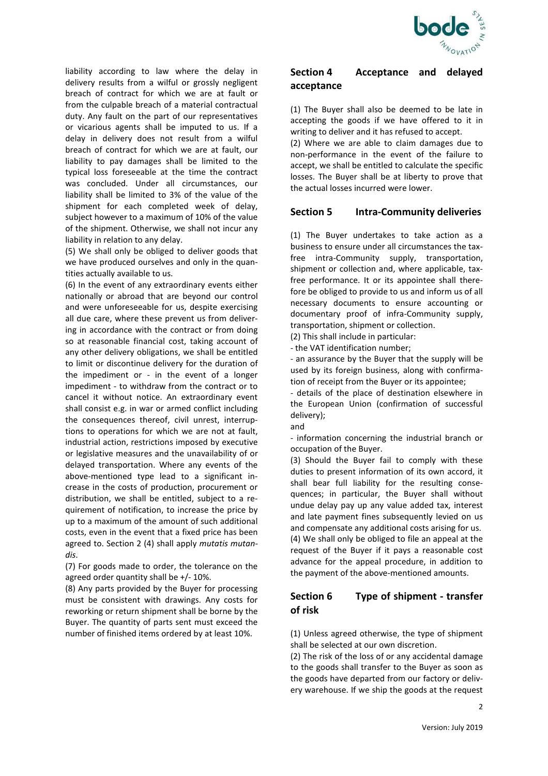

liability according to law where the delay in delivery results from a wilful or grossly negligent breach of contract for which we are at fault or from the culpable breach of a material contractual duty. Any fault on the part of our representatives or vicarious agents shall be imputed to us. If a delay in delivery does not result from a wilful breach of contract for which we are at fault, our liability to pay damages shall be limited to the typical loss foreseeable at the time the contract was concluded. Under all circumstances, our liability shall be limited to 3% of the value of the shipment for each completed week of delay, subject however to a maximum of 10% of the value of the shipment. Otherwise, we shall not incur any liability in relation to any delay.

(5) We shall only be obliged to deliver goods that we have produced ourselves and only in the quantities actually available to us.

(6) In the event of any extraordinary events either nationally or abroad that are beyond our control and were unforeseeable for us, despite exercising all due care, where these prevent us from delivering in accordance with the contract or from doing so at reasonable financial cost, taking account of any other delivery obligations, we shall be entitled to limit or discontinue delivery for the duration of the impediment or - in the event of a longer impediment - to withdraw from the contract or to cancel it without notice. An extraordinary event shall consist e.g. in war or armed conflict including the consequences thereof, civil unrest, interruptions to operations for which we are not at fault, industrial action, restrictions imposed by executive or legislative measures and the unavailability of or delayed transportation. Where any events of the above-mentioned type lead to a significant increase in the costs of production, procurement or distribution, we shall be entitled, subject to a requirement of notification, to increase the price by up to a maximum of the amount of such additional costs, even in the event that a fixed price has been agreed to. Section 2 (4) shall apply *mutatis mutandis*.

(7) For goods made to order, the tolerance on the agreed order quantity shall be +/- 10%.

(8) Any parts provided by the Buyer for processing must be consistent with drawings. Any costs for reworking or return shipment shall be borne by the Buyer. The quantity of parts sent must exceed the number of finished items ordered by at least 10%.

#### **Section 4 Acceptance and delayed acceptance**

(1) The Buyer shall also be deemed to be late in accepting the goods if we have offered to it in writing to deliver and it has refused to accept.

(2) Where we are able to claim damages due to non-performance in the event of the failure to accept, we shall be entitled to calculate the specific losses. The Buyer shall be at liberty to prove that the actual losses incurred were lower.

## **Section 5 Intra-Community deliveries**

(1) The Buyer undertakes to take action as a business to ensure under all circumstances the taxfree intra-Community supply, transportation, shipment or collection and, where applicable, taxfree performance. It or its appointee shall therefore be obliged to provide to us and inform us of all necessary documents to ensure accounting or documentary proof of infra-Community supply, transportation, shipment or collection.

(2) This shall include in particular:

- the VAT identification number;

- an assurance by the Buyer that the supply will be used by its foreign business, along with confirmation of receipt from the Buyer or its appointee;

- details of the place of destination elsewhere in the European Union (confirmation of successful delivery);

and

- information concerning the industrial branch or occupation of the Buyer.

(3) Should the Buyer fail to comply with these duties to present information of its own accord, it shall bear full liability for the resulting consequences; in particular, the Buyer shall without undue delay pay up any value added tax, interest and late payment fines subsequently levied on us and compensate any additional costs arising for us. (4) We shall only be obliged to file an appeal at the request of the Buyer if it pays a reasonable cost advance for the appeal procedure, in addition to the payment of the above-mentioned amounts.

# **Section 6 Type of shipment - transfer of risk**

(1) Unless agreed otherwise, the type of shipment shall be selected at our own discretion.

(2) The risk of the loss of or any accidental damage to the goods shall transfer to the Buyer as soon as the goods have departed from our factory or delivery warehouse. If we ship the goods at the request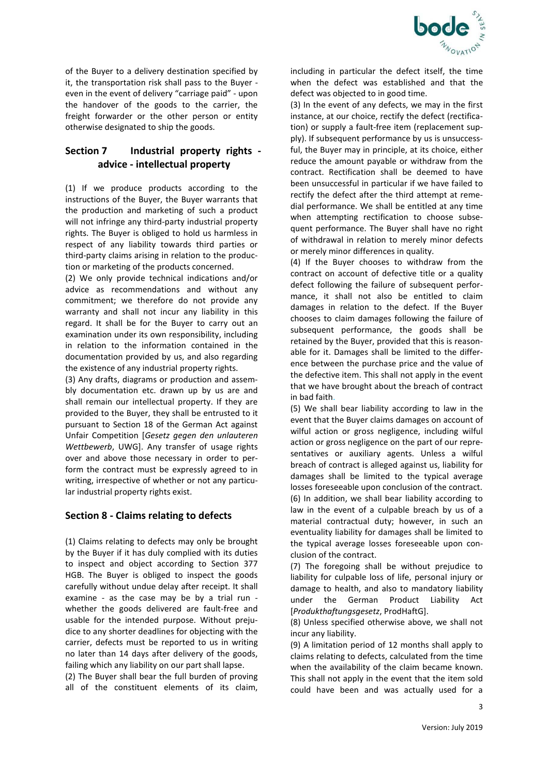

of the Buyer to a delivery destination specified by it, the transportation risk shall pass to the Buyer even in the event of delivery "carriage paid" - upon the handover of the goods to the carrier, the freight forwarder or the other person or entity otherwise designated to ship the goods.

# **Section 7 Industrial property rights advice - intellectual property**

(1) If we produce products according to the instructions of the Buyer, the Buyer warrants that the production and marketing of such a product will not infringe any third-party industrial property rights. The Buyer is obliged to hold us harmless in respect of any liability towards third parties or third-party claims arising in relation to the production or marketing of the products concerned.

(2) We only provide technical indications and/or advice as recommendations and without any commitment; we therefore do not provide any warranty and shall not incur any liability in this regard. It shall be for the Buyer to carry out an examination under its own responsibility, including in relation to the information contained in the documentation provided by us, and also regarding the existence of any industrial property rights.

(3) Any drafts, diagrams or production and assembly documentation etc. drawn up by us are and shall remain our intellectual property. If they are provided to the Buyer, they shall be entrusted to it pursuant to Section 18 of the German Act against Unfair Competition [*Gesetz gegen den unlauteren Wettbewerb*, UWG]. Any transfer of usage rights over and above those necessary in order to perform the contract must be expressly agreed to in writing, irrespective of whether or not any particular industrial property rights exist.

## **Section 8 - Claims relating to defects**

(1) Claims relating to defects may only be brought by the Buyer if it has duly complied with its duties to inspect and object according to Section 377 HGB. The Buyer is obliged to inspect the goods carefully without undue delay after receipt. It shall examine - as the case may be by a trial run whether the goods delivered are fault-free and usable for the intended purpose. Without prejudice to any shorter deadlines for objecting with the carrier, defects must be reported to us in writing no later than 14 days after delivery of the goods, failing which any liability on our part shall lapse.

(2) The Buyer shall bear the full burden of proving all of the constituent elements of its claim, including in particular the defect itself, the time when the defect was established and that the defect was objected to in good time.

(3) In the event of any defects, we may in the first instance, at our choice, rectify the defect (rectification) or supply a fault-free item (replacement supply). If subsequent performance by us is unsuccessful, the Buyer may in principle, at its choice, either reduce the amount payable or withdraw from the contract. Rectification shall be deemed to have been unsuccessful in particular if we have failed to rectify the defect after the third attempt at remedial performance. We shall be entitled at any time when attempting rectification to choose subsequent performance. The Buyer shall have no right of withdrawal in relation to merely minor defects or merely minor differences in quality.

(4) If the Buyer chooses to withdraw from the contract on account of defective title or a quality defect following the failure of subsequent performance, it shall not also be entitled to claim damages in relation to the defect. If the Buyer chooses to claim damages following the failure of subsequent performance, the goods shall be retained by the Buyer, provided that this is reasonable for it. Damages shall be limited to the difference between the purchase price and the value of the defective item. This shall not apply in the event that we have brought about the breach of contract in bad faith.

(5) We shall bear liability according to law in the event that the Buyer claims damages on account of wilful action or gross negligence, including wilful action or gross negligence on the part of our representatives or auxiliary agents. Unless a wilful breach of contract is alleged against us, liability for damages shall be limited to the typical average losses foreseeable upon conclusion of the contract. (6) In addition, we shall bear liability according to law in the event of a culpable breach by us of a material contractual duty; however, in such an eventuality liability for damages shall be limited to the typical average losses foreseeable upon conclusion of the contract.

(7) The foregoing shall be without prejudice to liability for culpable loss of life, personal injury or damage to health, and also to mandatory liability under the German Product Liability Act [*Produkthaftungsgesetz*, ProdHaftG].

(8) Unless specified otherwise above, we shall not incur any liability.

(9) A limitation period of 12 months shall apply to claims relating to defects, calculated from the time when the availability of the claim became known. This shall not apply in the event that the item sold could have been and was actually used for a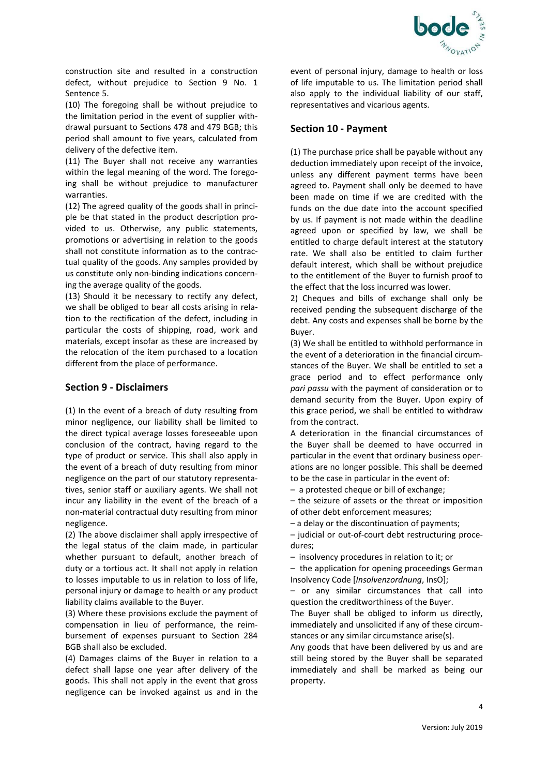

construction site and resulted in a construction defect, without prejudice to Section 9 No. 1 Sentence 5.

(10) The foregoing shall be without prejudice to the limitation period in the event of supplier withdrawal pursuant to Sections 478 and 479 BGB; this period shall amount to five years, calculated from delivery of the defective item.

(11) The Buyer shall not receive any warranties within the legal meaning of the word. The foregoing shall be without prejudice to manufacturer warranties.

(12) The agreed quality of the goods shall in principle be that stated in the product description provided to us. Otherwise, any public statements, promotions or advertising in relation to the goods shall not constitute information as to the contractual quality of the goods. Any samples provided by us constitute only non-binding indications concerning the average quality of the goods.

(13) Should it be necessary to rectify any defect, we shall be obliged to bear all costs arising in relation to the rectification of the defect, including in particular the costs of shipping, road, work and materials, except insofar as these are increased by the relocation of the item purchased to a location different from the place of performance.

#### **Section 9 - Disclaimers**

(1) In the event of a breach of duty resulting from minor negligence, our liability shall be limited to the direct typical average losses foreseeable upon conclusion of the contract, having regard to the type of product or service. This shall also apply in the event of a breach of duty resulting from minor negligence on the part of our statutory representatives, senior staff or auxiliary agents. We shall not incur any liability in the event of the breach of a non-material contractual duty resulting from minor negligence.

(2) The above disclaimer shall apply irrespective of the legal status of the claim made, in particular whether pursuant to default, another breach of duty or a tortious act. It shall not apply in relation to losses imputable to us in relation to loss of life, personal injury or damage to health or any product liability claims available to the Buyer.

(3) Where these provisions exclude the payment of compensation in lieu of performance, the reimbursement of expenses pursuant to Section 284 BGB shall also be excluded.

(4) Damages claims of the Buyer in relation to a defect shall lapse one year after delivery of the goods. This shall not apply in the event that gross negligence can be invoked against us and in the event of personal injury, damage to health or loss of life imputable to us. The limitation period shall also apply to the individual liability of our staff, representatives and vicarious agents.

## **Section 10 - Payment**

(1) The purchase price shall be payable without any deduction immediately upon receipt of the invoice, unless any different payment terms have been agreed to. Payment shall only be deemed to have been made on time if we are credited with the funds on the due date into the account specified by us. If payment is not made within the deadline agreed upon or specified by law, we shall be entitled to charge default interest at the statutory rate. We shall also be entitled to claim further default interest, which shall be without prejudice to the entitlement of the Buyer to furnish proof to the effect that the loss incurred was lower.

2) Cheques and bills of exchange shall only be received pending the subsequent discharge of the debt. Any costs and expenses shall be borne by the Buyer.

(3) We shall be entitled to withhold performance in the event of a deterioration in the financial circumstances of the Buyer. We shall be entitled to set a grace period and to effect performance only *pari passu* with the payment of consideration or to demand security from the Buyer. Upon expiry of this grace period, we shall be entitled to withdraw from the contract.

A deterioration in the financial circumstances of the Buyer shall be deemed to have occurred in particular in the event that ordinary business operations are no longer possible. This shall be deemed to be the case in particular in the event of:

– a protested cheque or bill of exchange;

– the seizure of assets or the threat or imposition of other debt enforcement measures;

– a delay or the discontinuation of payments;

– judicial or out-of-court debt restructuring procedures;

– insolvency procedures in relation to it; or

– the application for opening proceedings German Insolvency Code [*Insolvenzordnung*, InsO];

– or any similar circumstances that call into question the creditworthiness of the Buyer.

The Buyer shall be obliged to inform us directly, immediately and unsolicited if any of these circumstances or any similar circumstance arise(s).

Any goods that have been delivered by us and are still being stored by the Buyer shall be separated immediately and shall be marked as being our property.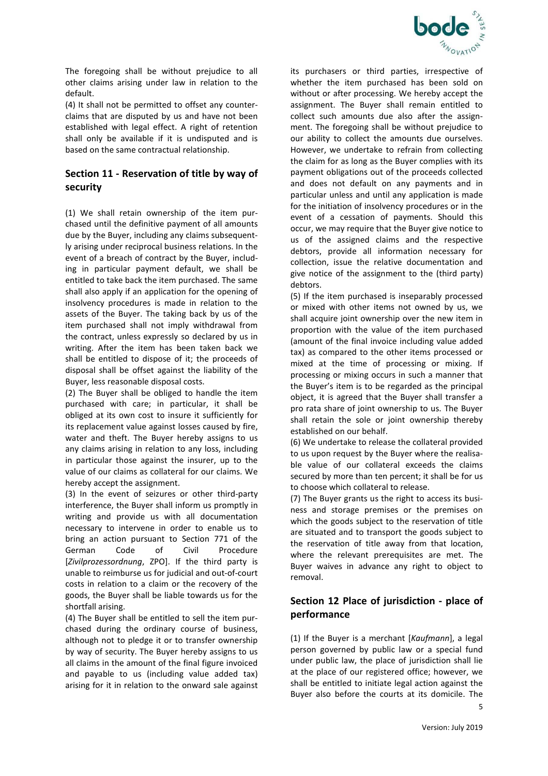

The foregoing shall be without prejudice to all other claims arising under law in relation to the default.

(4) It shall not be permitted to offset any counterclaims that are disputed by us and have not been established with legal effect. A right of retention shall only be available if it is undisputed and is based on the same contractual relationship.

# **Section 11 - Reservation of title by way of security**

(1) We shall retain ownership of the item purchased until the definitive payment of all amounts due by the Buyer, including any claims subsequently arising under reciprocal business relations. In the event of a breach of contract by the Buyer, including in particular payment default, we shall be entitled to take back the item purchased. The same shall also apply if an application for the opening of insolvency procedures is made in relation to the assets of the Buyer. The taking back by us of the item purchased shall not imply withdrawal from the contract, unless expressly so declared by us in writing. After the item has been taken back we shall be entitled to dispose of it; the proceeds of disposal shall be offset against the liability of the Buyer, less reasonable disposal costs.

(2) The Buyer shall be obliged to handle the item purchased with care; in particular, it shall be obliged at its own cost to insure it sufficiently for its replacement value against losses caused by fire, water and theft. The Buyer hereby assigns to us any claims arising in relation to any loss, including in particular those against the insurer, up to the value of our claims as collateral for our claims. We hereby accept the assignment.

(3) In the event of seizures or other third-party interference, the Buyer shall inform us promptly in writing and provide us with all documentation necessary to intervene in order to enable us to bring an action pursuant to Section 771 of the German Code of Civil Procedure [*Zivilprozessordnung*, ZPO]. If the third party is unable to reimburse us for judicial and out-of-court costs in relation to a claim or the recovery of the goods, the Buyer shall be liable towards us for the shortfall arising.

(4) The Buyer shall be entitled to sell the item purchased during the ordinary course of business, although not to pledge it or to transfer ownership by way of security. The Buyer hereby assigns to us all claims in the amount of the final figure invoiced and payable to us (including value added tax) arising for it in relation to the onward sale against its purchasers or third parties, irrespective of whether the item purchased has been sold on without or after processing. We hereby accept the assignment. The Buyer shall remain entitled to collect such amounts due also after the assignment. The foregoing shall be without prejudice to our ability to collect the amounts due ourselves. However, we undertake to refrain from collecting the claim for as long as the Buyer complies with its payment obligations out of the proceeds collected and does not default on any payments and in particular unless and until any application is made for the initiation of insolvency procedures or in the event of a cessation of payments. Should this occur, we may require that the Buyer give notice to us of the assigned claims and the respective debtors, provide all information necessary for collection, issue the relative documentation and give notice of the assignment to the (third party) debtors.

(5) If the item purchased is inseparably processed or mixed with other items not owned by us, we shall acquire joint ownership over the new item in proportion with the value of the item purchased (amount of the final invoice including value added tax) as compared to the other items processed or mixed at the time of processing or mixing. If processing or mixing occurs in such a manner that the Buyer's item is to be regarded as the principal object, it is agreed that the Buyer shall transfer a pro rata share of joint ownership to us. The Buyer shall retain the sole or joint ownership thereby established on our behalf.

(6) We undertake to release the collateral provided to us upon request by the Buyer where the realisable value of our collateral exceeds the claims secured by more than ten percent; it shall be for us to choose which collateral to release.

(7) The Buyer grants us the right to access its business and storage premises or the premises on which the goods subject to the reservation of title are situated and to transport the goods subject to the reservation of title away from that location, where the relevant prerequisites are met. The Buyer waives in advance any right to object to removal.

# **Section 12 Place of jurisdiction - place of performance**

 $\sim$  5  $\sim$  5  $\sim$  5  $\sim$  5  $\sim$  5  $\sim$  5  $\sim$  5  $\sim$  5  $\sim$  5  $\sim$  5  $\sim$  5  $\sim$  5  $\sim$  5  $\sim$  5  $\sim$  5  $\sim$  5  $\sim$  5  $\sim$  5  $\sim$  5  $\sim$  5  $\sim$  5  $\sim$  5  $\sim$  5  $\sim$  5  $\sim$  5  $\sim$  5  $\sim$  5  $\sim$  5  $\sim$  5  $\sim$  5  $\sim$  5  $\sim$ (1) If the Buyer is a merchant [*Kaufmann*], a legal person governed by public law or a special fund under public law, the place of jurisdiction shall lie at the place of our registered office; however, we shall be entitled to initiate legal action against the Buyer also before the courts at its domicile. The